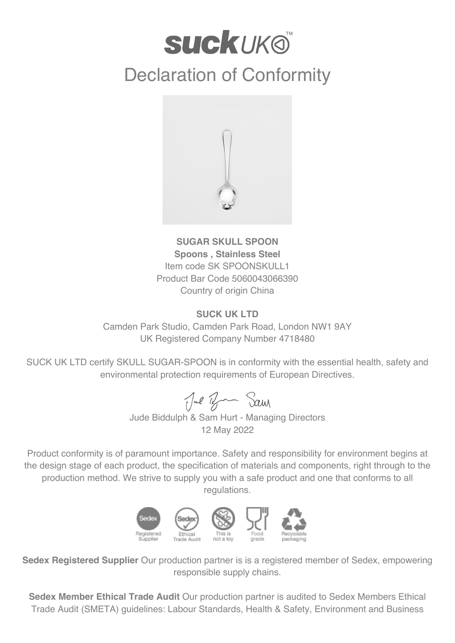## **suckuk®**

## Declaration of Conformity



**SUGAR SKULL SPOON Spoons , Stainless Steel** Item code SK SPOONSKULL1 Product Bar Code 5060043066390 Country of origin China

## **SUCK UK LTD**

Camden Park Studio, Camden Park Road, London NW1 9AY UK Registered Company Number 4718480

SUCK UK LTD certify SKULL SUGAR-SPOON is in conformity with the essential health, safety and environmental protection requirements of European Directives.

Jul Ban Sam

Jude Biddulph & Sam Hurt - Managing Directors 12 May 2022

Product conformity is of paramount importance. Safety and responsibility for environment begins at the design stage of each product, the specification of materials and components, right through to the production method. We strive to supply you with a safe product and one that conforms to all regulations.



**Sedex Registered Supplier** Our production partner is is a registered member of Sedex, empowering responsible supply chains.

**Sedex Member Ethical Trade Audit** Our production partner is audited to Sedex Members Ethical Trade Audit (SMETA) guidelines: Labour Standards, Health & Safety, Environment and Business